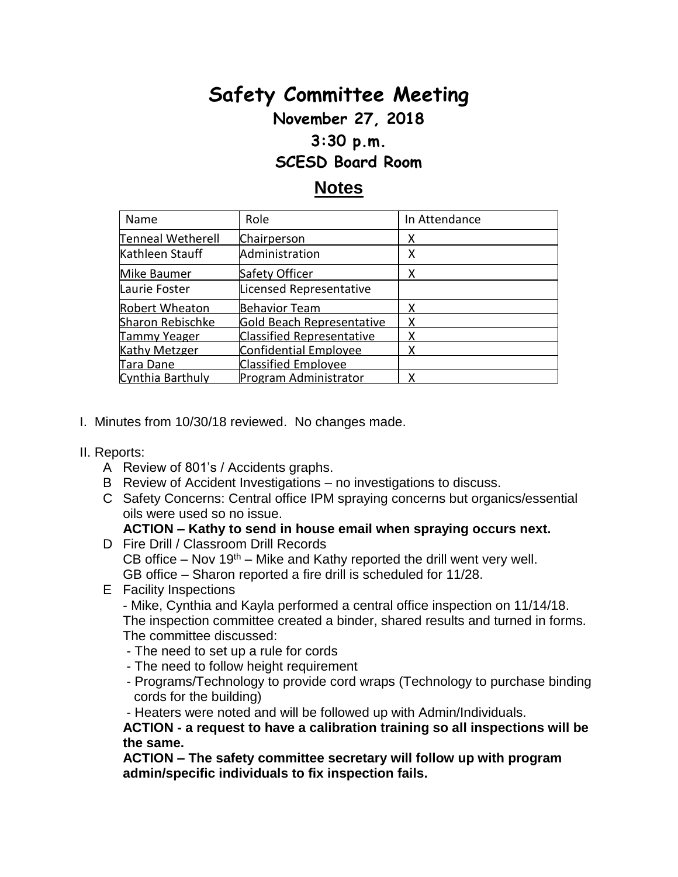# **Safety Committee Meeting**

### **November 27, 2018**

#### **3:30 p.m.**

#### **SCESD Board Room**

## **Notes**

| Name                     | Role                             | In Attendance |
|--------------------------|----------------------------------|---------------|
| <b>Tenneal Wetherell</b> | Chairperson                      | х             |
| Kathleen Stauff          | Administration                   | х             |
| Mike Baumer              | Safety Officer                   | x             |
| Laurie Foster            | Licensed Representative          |               |
| <b>Robert Wheaton</b>    | <b>Behavior Team</b>             |               |
| Sharon Rebischke         | Gold Beach Representative        |               |
| <b>Tammy Yeager</b>      | <b>Classified Representative</b> |               |
| <b>Kathy Metzger</b>     | Confidential Employee            |               |
| Tara Dane                | <b>Classified Employee</b>       |               |
| Cynthia Barthuly         | Program Administrator            |               |

- I. Minutes from 10/30/18 reviewed. No changes made.
- II. Reports:
	- A Review of 801's / Accidents graphs.
	- B Review of Accident Investigations no investigations to discuss.
	- C Safety Concerns: Central office IPM spraying concerns but organics/essential oils were used so no issue.

#### **ACTION – Kathy to send in house email when spraying occurs next.**

- D Fire Drill / Classroom Drill Records CB office – Nov  $19<sup>th</sup>$  – Mike and Kathy reported the drill went very well. GB office – Sharon reported a fire drill is scheduled for 11/28.
- E Facility Inspections

- Mike, Cynthia and Kayla performed a central office inspection on 11/14/18. The inspection committee created a binder, shared results and turned in forms. The committee discussed:

- The need to set up a rule for cords
- The need to follow height requirement
- Programs/Technology to provide cord wraps (Technology to purchase binding cords for the building)

- Heaters were noted and will be followed up with Admin/Individuals.

**ACTION - a request to have a calibration training so all inspections will be the same.**

**ACTION – The safety committee secretary will follow up with program admin/specific individuals to fix inspection fails.**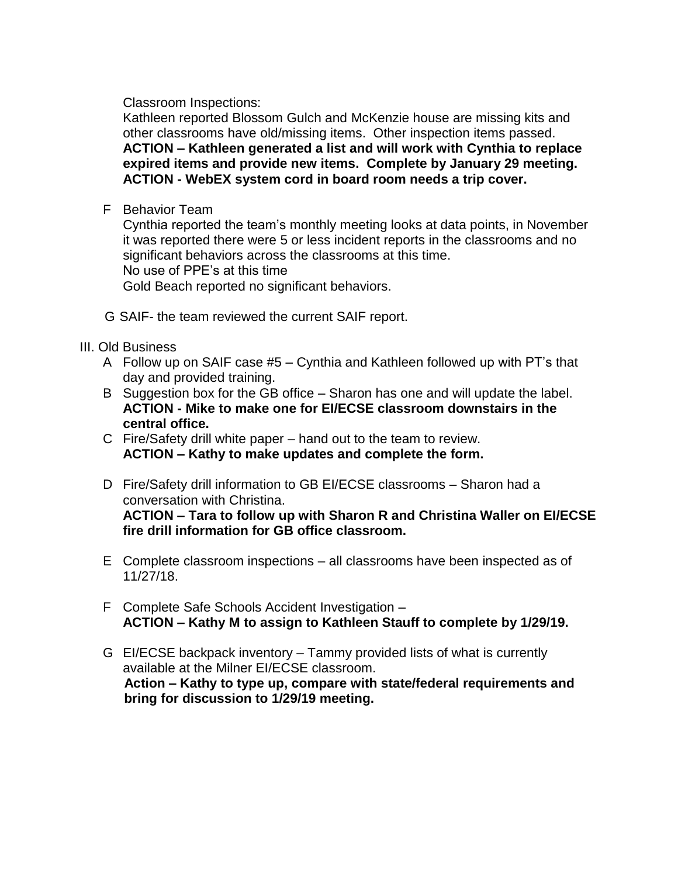Classroom Inspections:

Kathleen reported Blossom Gulch and McKenzie house are missing kits and other classrooms have old/missing items. Other inspection items passed. **ACTION – Kathleen generated a list and will work with Cynthia to replace expired items and provide new items. Complete by January 29 meeting. ACTION - WebEX system cord in board room needs a trip cover.**

F Behavior Team

Cynthia reported the team's monthly meeting looks at data points, in November it was reported there were 5 or less incident reports in the classrooms and no significant behaviors across the classrooms at this time. No use of PPE's at this time

Gold Beach reported no significant behaviors.

- G SAIF- the team reviewed the current SAIF report.
- III. Old Business
	- A Follow up on SAIF case #5 Cynthia and Kathleen followed up with PT's that day and provided training.
	- B Suggestion box for the GB office Sharon has one and will update the label. **ACTION - Mike to make one for EI/ECSE classroom downstairs in the central office.**
	- C Fire/Safety drill white paper hand out to the team to review. **ACTION – Kathy to make updates and complete the form.**
	- D Fire/Safety drill information to GB EI/ECSE classrooms Sharon had a conversation with Christina. **ACTION – Tara to follow up with Sharon R and Christina Waller on EI/ECSE fire drill information for GB office classroom.**
	- E Complete classroom inspections all classrooms have been inspected as of 11/27/18.
	- F Complete Safe Schools Accident Investigation **ACTION – Kathy M to assign to Kathleen Stauff to complete by 1/29/19.**
	- G EI/ECSE backpack inventory Tammy provided lists of what is currently available at the Milner EI/ECSE classroom. **Action – Kathy to type up, compare with state/federal requirements and bring for discussion to 1/29/19 meeting.**